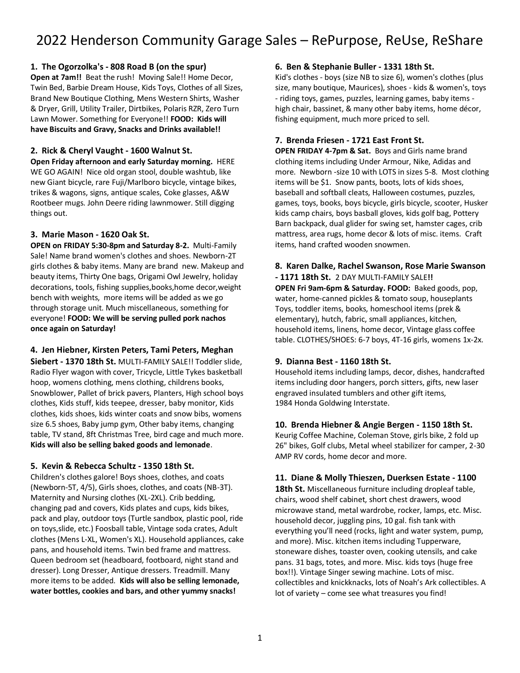### **1. The Ogorzolka's - 808 Road B (on the spur)**

**Open at 7am!!** Beat the rush! Moving Sale!! Home Decor, Twin Bed, Barbie Dream House, Kids Toys, Clothes of all Sizes, Brand New Boutique Clothing, Mens Western Shirts, Washer & Dryer, Grill, Utility Trailer, Dirtbikes, Polaris RZR, Zero Turn Lawn Mower. Something for Everyone!! **FOOD: Kids will have Biscuits and Gravy, Snacks and Drinks available!!**

### **2. Rick & Cheryl Vaught - 1600 Walnut St.**

**Open Friday afternoon and early Saturday morning.** HERE WE GO AGAIN! Nice old organ stool, double washtub, like new Giant bicycle, rare Fuji/Marlboro bicycle, vintage bikes, trikes & wagons, signs, antique scales, Coke glasses, A&W Rootbeer mugs. John Deere riding lawnmower. Still digging things out.

### **3. Marie Mason - 1620 Oak St.**

**OPEN on FRIDAY 5:30-8pm and Saturday 8-2.** Multi-Family Sale! Name brand women's clothes and shoes. Newborn-2T girls clothes & baby items. Many are brand new. Makeup and beauty items, Thirty One bags, Origami Owl Jewelry, holiday decorations, tools, fishing supplies,books,home decor,weight bench with weights, more items will be added as we go through storage unit. Much miscellaneous, something for everyone! **FOOD: We will be serving pulled pork nachos once again on Saturday!**

# **4. Jen Hiebner, Kirsten Peters, Tami Peters, Meghan**

**Siebert - 1370 18th St.** MULTI-FAMILY SALE!! Toddler slide, Radio Flyer wagon with cover, Tricycle, Little Tykes basketball hoop, womens clothing, mens clothing, childrens books, Snowblower, Pallet of brick pavers, Planters, High school boys clothes, Kids stuff, kids teepee, dresser, baby monitor, Kids clothes, kids shoes, kids winter coats and snow bibs, womens size 6.5 shoes, Baby jump gym, Other baby items, changing table, TV stand, 8ft Christmas Tree, bird cage and much more. **Kids will also be selling baked goods and lemonade**.

### **5. Kevin & Rebecca Schultz - 1350 18th St.**

Children's clothes galore! Boys shoes, clothes, and coats (Newborn-5T, 4/5), Girls shoes, clothes, and coats (NB-3T). Maternity and Nursing clothes (XL-2XL). Crib bedding, changing pad and covers, Kids plates and cups, kids bikes, pack and play, outdoor toys (Turtle sandbox, plastic pool, ride on toys,slide, etc.) Foosball table, Vintage soda crates, Adult clothes (Mens L-XL, Women's XL). Household appliances, cake pans, and household items. Twin bed frame and mattress. Queen bedroom set (headboard, footboard, night stand and dresser). Long Dresser, Antique dressers. Treadmill. Many more items to be added. **Kids will also be selling lemonade, water bottles, cookies and bars, and other yummy snacks!**

### **6. Ben & Stephanie Buller - 1331 18th St.**

Kid's clothes - boys (size NB to size 6), women's clothes (plus size, many boutique, Maurices), shoes - kids & women's, toys - riding toys, games, puzzles, learning games, baby items high chair, bassinet, & many other baby items, home décor, fishing equipment, much more priced to sell.

# **7. Brenda Friesen - 1721 East Front St.**

**OPEN FRIDAY 4-7pm & Sat.** Boys and Girls name brand clothing items including Under Armour, Nike, Adidas and more. Newborn -size 10 with LOTS in sizes 5-8. Most clothing items will be \$1. Snow pants, boots, lots of kids shoes, baseball and softball cleats, Halloween costumes, puzzles, games, toys, books, boys bicycle, girls bicycle, scooter, Husker kids camp chairs, boys basball gloves, kids golf bag, Pottery Barn backpack, dual glider for swing set, hamster cages, crib mattress, area rugs, home decor & lots of misc. items. Craft items, hand crafted wooden snowmen.

### **8. Karen Dalke, Rachel Swanson, Rose Marie Swanson - 1171 18th St.** 2 DAY MULTI-FAMILY SALE**!!**

**OPEN Fri 9am-6pm & Saturday. FOOD:** Baked goods, pop, water, home-canned pickles & tomato soup, houseplants Toys, toddler items, books, homeschool items (prek & elementary), hutch, fabric, small appliances, kitchen, household items, linens, home decor, Vintage glass coffee table. CLOTHES/SHOES: 6-7 boys, 4T-16 girls, womens 1x-2x.

### **9. Dianna Best - 1160 18th St.**

Household items including lamps, decor, dishes, handcrafted items including door hangers, porch sitters, gifts, new laser engraved insulated tumblers and other gift items, 1984 Honda Goldwing Interstate.

### **10. Brenda Hiebner & Angie Bergen - 1150 18th St.**

Keurig Coffee Machine, Coleman Stove, girls bike, 2 fold up 26" bikes, Golf clubs, Metal wheel stabilizer for camper, 2-30 AMP RV cords, home decor and more.

# **11. Diane & Molly Thieszen, Duerksen Estate - 1100**

**18th St.** Miscellaneous furniture including dropleaf table, chairs, wood shelf cabinet, short chest drawers, wood microwave stand, metal wardrobe, rocker, lamps, etc. Misc. household decor, juggling pins, 10 gal. fish tank with everything you'll need (rocks, light and water system, pump, and more). Misc. kitchen items including Tupperware, stoneware dishes, toaster oven, cooking utensils, and cake pans. 31 bags, totes, and more. Misc. kids toys (huge free box!!). Vintage Singer sewing machine. Lots of misc. collectibles and knickknacks, lots of Noah's Ark collectibles. A lot of variety – come see what treasures you find!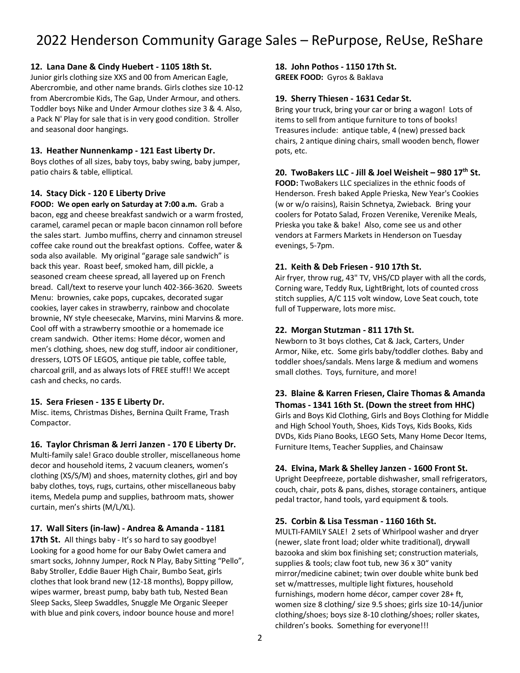### **12. Lana Dane & Cindy Huebert - 1105 18th St.**

Junior girls clothing size XXS and 00 from American Eagle, Abercrombie, and other name brands. Girls clothes size 10-12 from Abercrombie Kids, The Gap, Under Armour, and others. Toddler boys Nike and Under Armour clothes size 3 & 4. Also, a Pack N' Play for sale that is in very good condition. Stroller and seasonal door hangings.

### **13. Heather Nunnenkamp - 121 East Liberty Dr.**

Boys clothes of all sizes, baby toys, baby swing, baby jumper, patio chairs & table, elliptical.

### **14. Stacy Dick - 120 E Liberty Drive**

**FOOD: We open early on Saturday at 7:00 a.m.** Grab a bacon, egg and cheese breakfast sandwich or a warm frosted, caramel, caramel pecan or maple bacon cinnamon roll before the sales start. Jumbo muffins, cherry and cinnamon streusel coffee cake round out the breakfast options. Coffee, water & soda also available. My original "garage sale sandwich" is back this year. Roast beef, smoked ham, dill pickle, a seasoned cream cheese spread, all layered up on French bread. Call/text to reserve your lunch 402-366-3620. Sweets Menu: brownies, cake pops, cupcakes, decorated sugar cookies, layer cakes in strawberry, rainbow and chocolate brownie, NY style cheesecake, Marvins, mini Marvins & more. Cool off with a strawberry smoothie or a homemade ice cream sandwich. Other items: Home décor, women and men's clothing, shoes, new dog stuff, indoor air conditioner, dressers, LOTS OF LEGOS, antique pie table, coffee table, charcoal grill, and as always lots of FREE stuff!! We accept cash and checks, no cards.

### **15. Sera Friesen - 135 E Liberty Dr.**

Misc. items, Christmas Dishes, Bernina Quilt Frame, Trash Compactor.

### **16. Taylor Chrisman & Jerri Janzen - 170 E Liberty Dr.**

Multi-family sale! Graco double stroller, miscellaneous home decor and household items, 2 vacuum cleaners, women's clothing (XS/S/M) and shoes, maternity clothes, girl and boy baby clothes, toys, rugs, curtains, other miscellaneous baby items, Medela pump and supplies, bathroom mats, shower curtain, men's shirts (M/L/XL).

### **17. Wall Siters (in-law) - Andrea & Amanda - 1181**

**17th St.** All things baby - It's so hard to say goodbye! Looking for a good home for our Baby Owlet camera and smart socks, Johnny Jumper, Rock N Play, Baby Sitting "Pello", Baby Stroller, Eddie Bauer High Chair, Bumbo Seat, girls clothes that look brand new (12-18 months), Boppy pillow, wipes warmer, breast pump, baby bath tub, Nested Bean Sleep Sacks, Sleep Swaddles, Snuggle Me Organic Sleeper with blue and pink covers, indoor bounce house and more!

### **18. John Pothos - 1150 17th St.**

**GREEK FOOD:** Gyros & Baklava

### **19. Sherry Thiesen - 1631 Cedar St.**

Bring your truck, bring your car or bring a wagon! Lots of items to sell from antique furniture to tons of books! Treasures include: antique table, 4 (new) pressed back chairs, 2 antique dining chairs, small wooden bench, flower pots, etc.

### **20. TwoBakers LLC - Jill & Joel Weisheit – 980 17th St.**

**FOOD:** TwoBakers LLC specializes in the ethnic foods of Henderson. Fresh baked Apple Prieska, New Year's Cookies (w or w/o raisins), Raisin Schnetya, Zwieback. Bring your coolers for Potato Salad, Frozen Verenike, Verenike Meals, Prieska you take & bake! Also, come see us and other vendors at Farmers Markets in Henderson on Tuesday evenings, 5-7pm.

### **21. Keith & Deb Friesen - 910 17th St.**

Air fryer, throw rug, 43" TV, VHS/CD player with all the cords, Corning ware, Teddy Rux, LightBright, lots of counted cross stitch supplies, A/C 115 volt window, Love Seat couch, tote full of Tupperware, lots more misc.

### **22. Morgan Stutzman - 811 17th St.**

Newborn to 3t boys clothes, Cat & Jack, Carters, Under Armor, Nike, etc. Some girls baby/toddler clothes. Baby and toddler shoes/sandals. Mens large & medium and womens small clothes. Toys, furniture, and more!

# **23. Blaine & Karren Friesen, Claire Thomas & Amanda Thomas - 1341 16th St. (Down the street from HHC)**

Girls and Boys Kid Clothing, Girls and Boys Clothing for Middle and High School Youth, Shoes, Kids Toys, Kids Books, Kids DVDs, Kids Piano Books, LEGO Sets, Many Home Decor Items, Furniture Items, Teacher Supplies, and Chainsaw

### **24. Elvina, Mark & Shelley Janzen - 1600 Front St.**

Upright Deepfreeze, portable dishwasher, small refrigerators, couch, chair, pots & pans, dishes, storage containers, antique pedal tractor, hand tools, yard equipment & tools.

### **25. Corbin & Lisa Tessman - 1160 16th St.**

MULTI-FAMILY SALE! 2 sets of Whirlpool washer and dryer (newer, slate front load; older white traditional), drywall bazooka and skim box finishing set; construction materials, supplies & tools; claw foot tub, new 36 x 30" vanity mirror/medicine cabinet; twin over double white bunk bed set w/mattresses, multiple light fixtures, household furnishings, modern home décor, camper cover 28+ ft, women size 8 clothing/ size 9.5 shoes; girls size 10-14/junior clothing/shoes; boys size 8-10 clothing/shoes; roller skates, children's books. Something for everyone!!!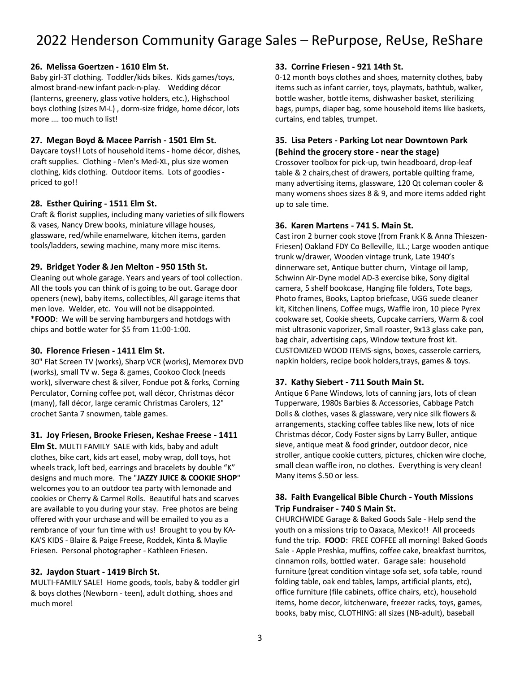### **26. Melissa Goertzen - 1610 Elm St.**

Baby girl-3T clothing. Toddler/kids bikes. Kids games/toys, almost brand-new infant pack-n-play. Wedding décor (lanterns, greenery, glass votive holders, etc.), Highschool boys clothing (sizes M-L) , dorm-size fridge, home décor, lots more …. too much to list!

### **27. Megan Boyd & Macee Parrish - 1501 Elm St.**

Daycare toys!! Lots of household items - home décor, dishes, craft supplies. Clothing - Men's Med-XL, plus size women clothing, kids clothing. Outdoor items. Lots of goodies priced to go!!

### **28. Esther Quiring - 1511 Elm St.**

Craft & florist supplies, including many varieties of silk flowers & vases, Nancy Drew books, miniature village houses, glassware, red/while enamelware, kitchen items, garden tools/ladders, sewing machine, many more misc items.

### **29. Bridget Yoder & Jen Melton - 950 15th St.**

Cleaning out whole garage. Years and years of tool collection. All the tools you can think of is going to be out. Garage door openers (new), baby items, collectibles, All garage items that men love. Welder, etc. You will not be disappointed. \***FOOD**: We will be serving hamburgers and hotdogs with chips and bottle water for \$5 from 11:00-1:00.

### **30. Florence Friesen - 1411 Elm St.**

30" Flat Screen TV (works), Sharp VCR (works), Memorex DVD (works), small TV w. Sega & games, Cookoo Clock (needs work), silverware chest & silver, Fondue pot & forks, Corning Perculator, Corning coffee pot, wall décor, Christmas décor (many), fall décor, large ceramic Christmas Carolers, 12" crochet Santa 7 snowmen, table games.

### **31. Joy Friesen, Brooke Friesen, Keshae Freese - 1411**

**Elm St.** MULTI FAMILY SALE with kids, baby and adult clothes, bike cart, kids art easel, moby wrap, doll toys, hot wheels track, loft bed, earrings and bracelets by double "K" designs and much more. The "**JAZZY JUICE & COOKIE SHOP**" welcomes you to an outdoor tea party with lemonade and cookies or Cherry & Carmel Rolls. Beautiful hats and scarves are available to you during your stay. Free photos are being offered with your urchase and will be emailed to you as a rembrance of your fun time with us! Brought to you by KA-KA'S KIDS - Blaire & Paige Freese, Roddek, Kinta & Maylie Friesen. Personal photographer - Kathleen Friesen.

### **32. Jaydon Stuart - 1419 Birch St.**

MULTI-FAMILY SALE! Home goods, tools, baby & toddler girl & boys clothes (Newborn - teen), adult clothing, shoes and much more!

### **33. Corrine Friesen - 921 14th St.**

0-12 month boys clothes and shoes, maternity clothes, baby items such as infant carrier, toys, playmats, bathtub, walker, bottle washer, bottle items, dishwasher basket, sterilizing bags, pumps, diaper bag, some household items like baskets, curtains, end tables, trumpet.

## **35. Lisa Peters - Parking Lot near Downtown Park (Behind the grocery store - near the stage)**

Crossover toolbox for pick-up, twin headboard, drop-leaf table & 2 chairs,chest of drawers, portable quilting frame, many advertising items, glassware, 120 Qt coleman cooler & many womens shoes sizes 8 & 9, and more items added right up to sale time.

### **36. Karen Martens - 741 S. Main St.**

Cast iron 2 burner cook stove (from Frank K & Anna Thieszen-Friesen) Oakland FDY Co Belleville, ILL.; Large wooden antique trunk w/drawer, Wooden vintage trunk, Late 1940's dinnerware set, Antique butter churn, Vintage oil lamp, Schwinn Air-Dyne model AD-3 exercise bike, Sony digital camera, 5 shelf bookcase, Hanging file folders, Tote bags, Photo frames, Books, Laptop briefcase, UGG suede cleaner kit, Kitchen linens, Coffee mugs, Waffle iron, 10 piece Pyrex cookware set, Cookie sheets, Cupcake carriers, Warm & cool mist ultrasonic vaporizer, Small roaster, 9x13 glass cake pan, bag chair, advertising caps, Window texture frost kit. CUSTOMIZED WOOD ITEMS-signs, boxes, casserole carriers, napkin holders, recipe book holders,trays, games & toys.

### **37. Kathy Siebert - 711 South Main St.**

Antique 6 Pane Windows, lots of canning jars, lots of clean Tupperware, 1980s Barbies & Accessories, Cabbage Patch Dolls & clothes, vases & glassware, very nice silk flowers & arrangements, stacking coffee tables like new, lots of nice Christmas décor, Cody Foster signs by Larry Buller, antique sieve, antique meat & food grinder, outdoor decor, nice stroller, antique cookie cutters, pictures, chicken wire cloche, small clean waffle iron, no clothes. Everything is very clean! Many items \$.50 or less.

### **38. Faith Evangelical Bible Church - Youth Missions Trip Fundraiser - 740 S Main St.**

CHURCHWIDE Garage & Baked Goods Sale - Help send the youth on a missions trip to Oaxaca, Mexico!! All proceeds fund the trip. **FOOD**: FREE COFFEE all morning! Baked Goods Sale - Apple Preshka, muffins, coffee cake, breakfast burritos, cinnamon rolls, bottled water. Garage sale: household furniture (great condition vintage sofa set, sofa table, round folding table, oak end tables, lamps, artificial plants, etc), office furniture (file cabinets, office chairs, etc), household items, home decor, kitchenware, freezer racks, toys, games, books, baby misc, CLOTHING: all sizes (NB-adult), baseball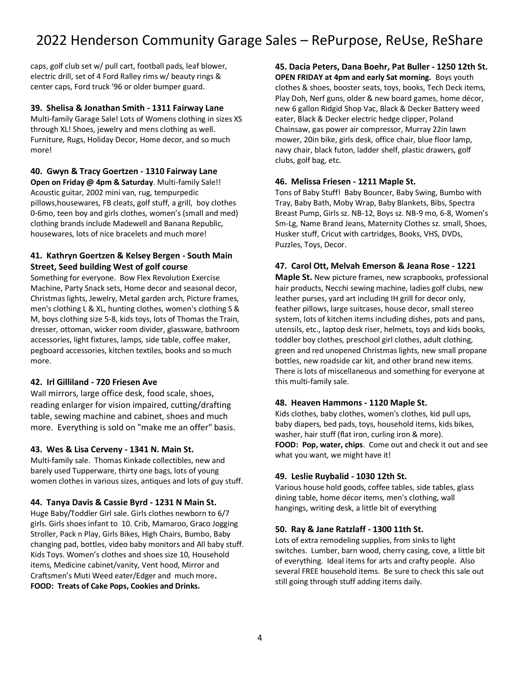caps, golf club set w/ pull cart, football pads, leaf blower, electric drill, set of 4 Ford Ralley rims w/ beauty rings & center caps, Ford truck '96 or older bumper guard.

### **39. Shelisa & Jonathan Smith - 1311 Fairway Lane**

Multi-family Garage Sale! Lots of Womens clothing in sizes XS through XL! Shoes, jewelry and mens clothing as well. Furniture, Rugs, Holiday Decor, Home decor, and so much more!

#### **40. Gwyn & Tracy Goertzen - 1310 Fairway Lane**

**Open on Friday @ 4pm & Saturday**. Multi-family Sale!! Acoustic guitar, 2002 mini van, rug, tempurpedic pillows,housewares, FB cleats, golf stuff, a grill, boy clothes 0-6mo, teen boy and girls clothes, women's (small and med) clothing brands include Madewell and Banana Republic, housewares, lots of nice bracelets and much more!

### **41. Kathryn Goertzen & Kelsey Bergen - South Main Street, Seed building West of golf course**

Something for everyone. Bow Flex Revolution Exercise Machine, Party Snack sets, Home decor and seasonal decor, Christmas lights, Jewelry, Metal garden arch, Picture frames, men's clothing L & XL, hunting clothes, women's clothing S & M, boys clothing size 5-8, kids toys, lots of Thomas the Train, dresser, ottoman, wicker room divider, glassware, bathroom accessories, light fixtures, lamps, side table, coffee maker, pegboard accessories, kitchen textiles, books and so much more.

### **42. Irl Gilliland - 720 Friesen Ave**

Wall mirrors, large office desk, food scale, shoes, reading enlarger for vision impaired, cutting/drafting table, sewing machine and cabinet, shoes and much more. Everything is sold on "make me an offer" basis.

### **43. Wes & Lisa Cerveny - 1341 N. Main St.**

Multi-family sale. Thomas Kinkade collectibles, new and barely used Tupperware, thirty one bags, lots of young women clothes in various sizes, antiques and lots of guy stuff.

### **44. Tanya Davis & Cassie Byrd - 1231 N Main St.**

Huge Baby/Toddler Girl sale. Girls clothes newborn to 6/7 girls. Girls shoes infant to 10. Crib, Mamaroo, Graco Jogging Stroller, Pack n Play, Girls Bikes, High Chairs, Bumbo, Baby changing pad, bottles, video baby monitors and All baby stuff. Kids Toys. Women's clothes and shoes size 10, Household items, Medicine cabinet/vanity, Vent hood, Mirror and Craftsmen's Muti Weed eater/Edger and much more**. FOOD: Treats of Cake Pops, Cookies and Drinks.**

**45. Dacia Peters, Dana Boehr, Pat Buller - 1250 12th St. OPEN FRIDAY at 4pm and early Sat morning.** Boys youth clothes & shoes, booster seats, toys, books, Tech Deck items, Play Doh, Nerf guns, older & new board games, home décor, new 6 gallon Ridgid Shop Vac, Black & Decker Battery weed eater, Black & Decker electric hedge clipper, Poland Chainsaw, gas power air compressor, Murray 22in lawn mower, 20in bike, girls desk, office chair, blue floor lamp, navy chair, black futon, ladder shelf, plastic drawers, golf clubs, golf bag, etc.

### **46. Melissa Friesen - 1211 Maple St.**

Tons of Baby Stuff! Baby Bouncer, Baby Swing, Bumbo with Tray, Baby Bath, Moby Wrap, Baby Blankets, Bibs, Spectra Breast Pump, Girls sz. NB-12, Boys sz. NB-9 mo, 6-8, Women's Sm-Lg, Name Brand Jeans, Maternity Clothes sz. small, Shoes, Husker stuff, Cricut with cartridges, Books, VHS, DVDs, Puzzles, Toys, Decor.

### **47. Carol Ott, Melvah Emerson & Jeana Rose - 1221**

**Maple St.** New picture frames, new scrapbooks, professional hair products, Necchi sewing machine, ladies golf clubs, new leather purses, yard art including IH grill for decor only, feather pillows, large suitcases, house decor, small stereo system, lots of kitchen items including dishes, pots and pans, utensils, etc., laptop desk riser, helmets, toys and kids books, toddler boy clothes, preschool girl clothes, adult clothing, green and red unopened Christmas lights, new small propane bottles, new roadside car kit, and other brand new items. There is lots of miscellaneous and something for everyone at this multi-family sale.

### **48. Heaven Hammons - 1120 Maple St.**

Kids clothes, baby clothes, women's clothes, kid pull ups, baby diapers, bed pads, toys, household items, kids bikes, washer, hair stuff (flat iron, curling iron & more). **FOOD: Pop, water, chips**. Come out and check it out and see what you want, we might have it!

### **49. Leslie Ruybalid - 1030 12th St.**

Various house hold goods, coffee tables, side tables, glass dining table, home décor items, men's clothing, wall hangings, writing desk, a little bit of everything

### **50. Ray & Jane Ratzlaff - 1300 11th St.**

Lots of extra remodeling supplies, from sinks to light switches. Lumber, barn wood, cherry casing, cove, a little bit of everything. Ideal items for arts and crafty people. Also several FREE household items. Be sure to check this sale out still going through stuff adding items daily.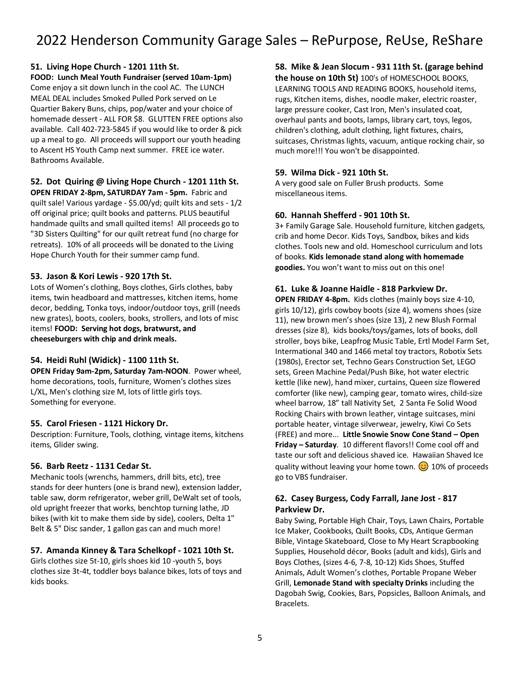### **51. Living Hope Church - 1201 11th St.**

#### **FOOD: Lunch Meal Youth Fundraiser (served 10am-1pm)**

Come enjoy a sit down lunch in the cool AC. The LUNCH MEAL DEAL includes Smoked Pulled Pork served on Le Quartier Bakery Buns, chips, pop/water and your choice of homemade dessert - ALL FOR \$8. GLUTTEN FREE options also available. Call 402-723-5845 if you would like to order & pick up a meal to go. All proceeds will support our youth heading to Ascent HS Youth Camp next summer. FREE ice water. Bathrooms Available.

### **52. Dot Quiring @ Living Hope Church - 1201 11th St.**

**OPEN FRIDAY 2-8pm, SATURDAY 7am - 5pm.** Fabric and quilt sale! Various yardage - \$5.00/yd; quilt kits and sets - 1/2 off original price; quilt books and patterns. PLUS beautiful handmade quilts and small quilted items! All proceeds go to "3D Sisters Quilting" for our quilt retreat fund (no charge for retreats). 10% of all proceeds will be donated to the Living Hope Church Youth for their summer camp fund.

### **53. Jason & Kori Lewis - 920 17th St.**

Lots of Women's clothing, Boys clothes, Girls clothes, baby items, twin headboard and mattresses, kitchen items, home decor, bedding, Tonka toys, indoor/outdoor toys, grill (needs new grates), boots, coolers, books, strollers, and lots of misc items! **FOOD: Serving hot dogs, bratwurst, and cheeseburgers with chip and drink meals.**

### **54. Heidi Ruhl (Widick) - 1100 11th St.**

**OPEN Friday 9am-2pm, Saturday 7am-NOON**. Power wheel, home decorations, tools, furniture, Women's clothes sizes L/XL, Men's clothing size M, lots of little girls toys. Something for everyone.

### **55. Carol Friesen - 1121 Hickory Dr.**

Description: Furniture, Tools, clothing, vintage items, kitchens items, Glider swing.

### **56. Barb Reetz - 1131 Cedar St.**

Mechanic tools (wrenchs, hammers, drill bits, etc), tree stands for deer hunters (one is brand new), extension ladder, table saw, dorm refrigerator, weber grill, DeWalt set of tools, old upright freezer that works, benchtop turning lathe, JD bikes (with kit to make them side by side), coolers, Delta 1" Belt & 5" Disc sander, 1 gallon gas can and much more!

### **57. Amanda Kinney & Tara Schelkopf - 1021 10th St.**

Girls clothes size 5t-10, girls shoes kid 10 -youth 5, boys clothes size 3t-4t, toddler boys balance bikes, lots of toys and kids books.

### **58. Mike & Jean Slocum - 931 11th St. (garage behind**

**the house on 10th St)** 100's of HOMESCHOOL BOOKS, LEARNING TOOLS AND READING BOOKS, household items, rugs, Kitchen items, dishes, noodle maker, electric roaster, large pressure cooker, Cast Iron, Men's insulated coat, overhaul pants and boots, lamps, library cart, toys, legos, children's clothing, adult clothing, light fixtures, chairs, suitcases, Christmas lights, vacuum, antique rocking chair, so much more!!! You won't be disappointed.

### **59. Wilma Dick - 921 10th St.**

A very good sale on Fuller Brush products. Some miscellaneous items.

### **60. Hannah Shefferd - 901 10th St.**

3+ Family Garage Sale. Household furniture, kitchen gadgets, crib and home Decor. Kids Toys, Sandbox, bikes and kids clothes. Tools new and old. Homeschool curriculum and lots of books. **Kids lemonade stand along with homemade goodies.** You won't want to miss out on this one!

### **61. Luke & Joanne Haidle - 818 Parkview Dr.**

**OPEN FRIDAY 4-8pm.** Kids clothes (mainly boys size 4-10, girls 10/12), girls cowboy boots (size 4), womens shoes (size 11), new brown men's shoes (size 13), 2 new Blush Formal dresses (size 8), kids books/toys/games, lots of books, doll stroller, boys bike, Leapfrog Music Table, Ertl Model Farm Set, Intermational 340 and 1466 metal toy tractors, Robotix Sets (1980s), Erector set, Techno Gears Construction Set, LEGO sets, Green Machine Pedal/Push Bike, hot water electric kettle (like new), hand mixer, curtains, Queen size flowered comforter (like new), camping gear, tomato wires, child-size wheel barrow, 18" tall Nativity Set, 2 Santa Fe Solid Wood Rocking Chairs with brown leather, vintage suitcases, mini portable heater, vintage silverwear, jewelry, Kiwi Co Sets (FREE) and more... **Little Snowie Snow Cone Stand – Open Friday – Saturday**. 10 different flavors!! Come cool off and taste our soft and delicious shaved ice. Hawaiian Shaved Ice quality without leaving your home town.  $\odot$  10% of proceeds go to VBS fundraiser.

### **62. Casey Burgess, Cody Farrall, Jane Jost - 817 Parkview Dr.**

Baby Swing, Portable High Chair, Toys, Lawn Chairs, Portable Ice Maker, Cookbooks, Quilt Books, CDs, Antique German Bible, Vintage Skateboard, Close to My Heart Scrapbooking Supplies, Household décor, Books (adult and kids), Girls and Boys Clothes, (sizes 4-6, 7-8, 10-12) Kids Shoes, Stuffed Animals, Adult Women's clothes, Portable Propane Weber Grill, **Lemonade Stand with specialty Drinks** including the Dagobah Swig, Cookies, Bars, Popsicles, Balloon Animals, and Bracelets.